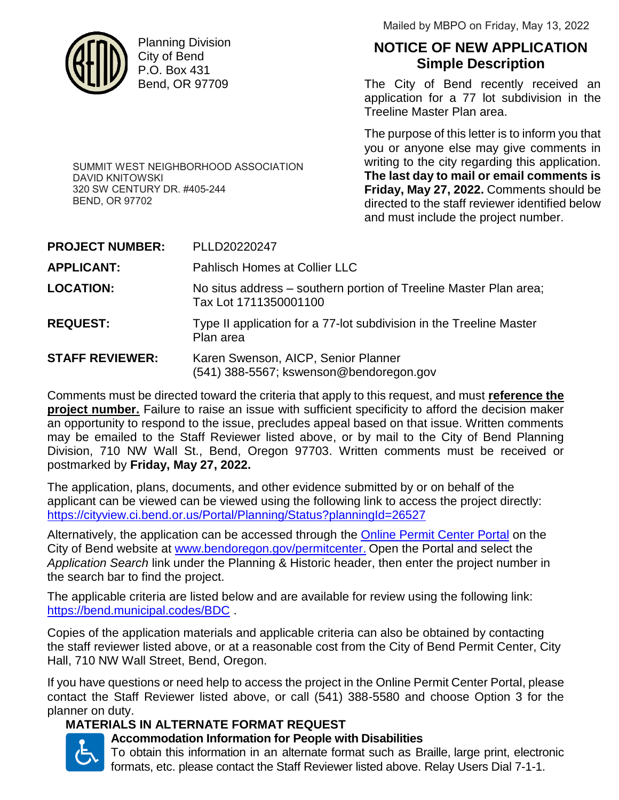

DAVID KNITOWSKI

BEND, OR 97702

320 SW CENTURY DR. #405-244

Planning Division City of Bend P.O. Box 431 Bend, OR 97709

SUMMIT WEST NEIGHBORHOOD ASSOCIATION

Mailed by MBPO on Friday, May 13, 2022

# **NOTICE OF NEW APPLICATION Simple Description**

The City of Bend recently received an application for a 77 lot subdivision in the Treeline Master Plan area.

The purpose of this letter is to inform you that you or anyone else may give comments in writing to the city regarding this application. **The last day to mail or email comments is Friday, May 27, 2022.** Comments should be directed to the staff reviewer identified below and must include the project number.

| <b>PROJECT NUMBER:</b> | PLLD20220247                                                                               |
|------------------------|--------------------------------------------------------------------------------------------|
| <b>APPLICANT:</b>      | Pahlisch Homes at Collier LLC                                                              |
| <b>LOCATION:</b>       | No situs address – southern portion of Treeline Master Plan area;<br>Tax Lot 1711350001100 |
| <b>REQUEST:</b>        | Type II application for a 77-lot subdivision in the Treeline Master<br>Plan area           |
| <b>STAFF REVIEWER:</b> | Karen Swenson, AICP, Senior Planner<br>(541) 388-5567; kswenson@bendoregon.gov             |

Comments must be directed toward the criteria that apply to this request, and must **reference the project number.** Failure to raise an issue with sufficient specificity to afford the decision maker an opportunity to respond to the issue, precludes appeal based on that issue. Written comments may be emailed to the Staff Reviewer listed above, or by mail to the City of Bend Planning Division, 710 NW Wall St., Bend, Oregon 97703. Written comments must be received or postmarked by **Friday, May 27, 2022.**

The application, plans, documents, and other evidence submitted by or on behalf of the applicant can be viewed can be viewed using the following link to access the project directly: https://cityview.ci.bend.or.us/Portal/Planning/Status?planningId=26527

Alternatively, the application can be accessed through the Online Permit Center Portal on the City of Bend website at www.bendoregon.gov/permitcenter. Open the Portal and select the *Application Search* link under the Planning & Historic header, then enter the project number in the search bar to find the project.

The applicable criteria are listed below and are available for review using the following link: https://bend.municipal.codes/BDC .

Copies of the application materials and applicable criteria can also be obtained by contacting the staff reviewer listed above, or at a reasonable cost from the City of Bend Permit Center, City Hall, 710 NW Wall Street, Bend, Oregon.

If you have questions or need help to access the project in the Online Permit Center Portal, please contact the Staff Reviewer listed above, or call (541) 388-5580 and choose Option 3 for the planner on duty.

## **MATERIALS IN ALTERNATE FORMAT REQUEST**



## **Accommodation Information for People with Disabilities**

To obtain this information in an alternate format such as Braille, large print, electronic formats, etc. please contact the Staff Reviewer listed above. Relay Users Dial 7-1-1.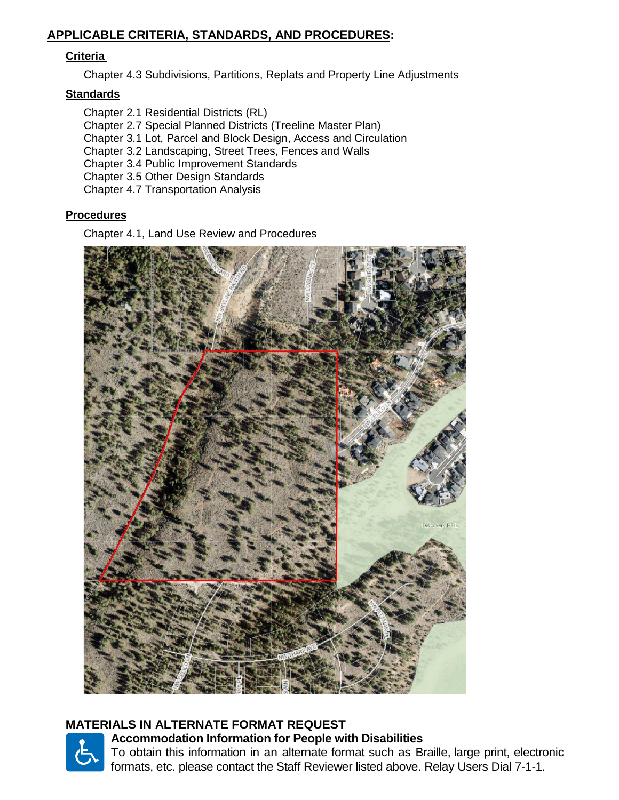### **APPLICABLE CRITERIA, STANDARDS, AND PROCEDURES:**

#### **Criteria**

Chapter 4.3 Subdivisions, Partitions, Replats and Property Line Adjustments

#### **Standards**

Chapter 2.1 Residential Districts (RL) Chapter 2.7 Special Planned Districts (Treeline Master Plan) Chapter 3.1 Lot, Parcel and Block Design, Access and Circulation Chapter 3.2 Landscaping, Street Trees, Fences and Walls Chapter 3.4 Public Improvement Standards Chapter 3.5 Other Design Standards Chapter 4.7 Transportation Analysis

#### **Procedures**

Chapter 4.1, Land Use Review and Procedures



## **MATERIALS IN ALTERNATE FORMAT REQUEST**



**Accommodation Information for People with Disabilities** To obtain this information in an alternate format such as Braille, large print, electronic formats, etc. please contact the Staff Reviewer listed above. Relay Users Dial 7-1-1.